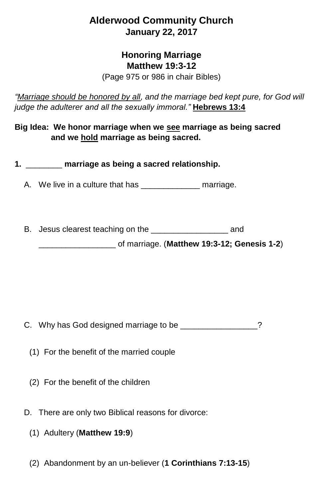## **Alderwood Community Church January 22, 2017**

## **Honoring Marriage Matthew 19:3-12**

(Page 975 or 986 in chair Bibles)

*"Marriage should be honored by all, and the marriage bed kept pure, for God will judge the adulterer and all the sexually immoral."* **Hebrews 13:4**

**Big Idea: We honor marriage when we see marriage as being sacred and we hold marriage as being sacred.**

**1.** \_\_\_\_\_\_\_\_ **marriage as being a sacred relationship.**

A. We live in a culture that has \_\_\_\_\_\_\_\_\_\_\_\_\_\_\_\_ marriage.

B. Jesus clearest teaching on the **Example 20** and

\_\_\_\_\_\_\_\_\_\_\_\_\_\_\_\_\_ of marriage. (**Matthew 19:3-12; Genesis 1-2**)

C. Why has God designed marriage to be  $\sim$  2

- (1) For the benefit of the married couple
- (2) For the benefit of the children
- D. There are only two Biblical reasons for divorce:
	- (1) Adultery (**Matthew 19:9**)
	- (2) Abandonment by an un-believer (**1 Corinthians 7:13-15**)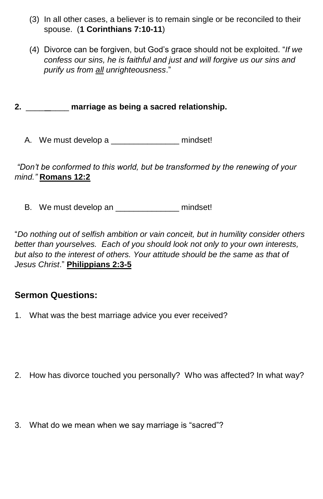- (3) In all other cases, a believer is to remain single or be reconciled to their spouse. (**1 Corinthians 7:10-11**)
- (4) Divorce can be forgiven, but God's grace should not be exploited. "*If we confess our sins, he is faithful and just and will forgive us our sins and purify us from all unrighteousness*."

**2.** \_\_\_\_ \_\_\_\_ **marriage as being a sacred relationship.**

A. We must develop a mindset!

*"Don't be conformed to this world, but be transformed by the renewing of your mind."* **Romans 12:2**

B. We must develop an \_\_\_\_\_\_\_\_\_\_\_\_\_\_\_\_ mindset!

"*Do nothing out of selfish ambition or vain conceit, but in humility consider others better than yourselves. Each of you should look not only to your own interests, but also to the interest of others. Your attitude should be the same as that of Jesus Christ*." **Philippians 2:3-5**

## **Sermon Questions:**

- 1. What was the best marriage advice you ever received?
- 2. How has divorce touched you personally? Who was affected? In what way?
- 3. What do we mean when we say marriage is "sacred"?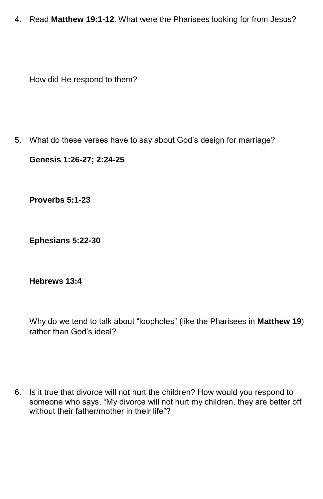4. Read **Matthew 19:1-12**. What were the Pharisees looking for from Jesus?

How did He respond to them?

5. What do these verses have to say about God's design for marriage?

**Genesis 1:26-27; 2:24-25**

**Proverbs 5:1-23**

**Ephesians 5:22-30**

**Hebrews 13:4**

Why do we tend to talk about "loopholes" (like the Pharisees in **Matthew 19**) rather than God's ideal?

6. Is it true that divorce will not hurt the children? How would you respond to someone who says, "My divorce will not hurt my children, they are better off without their father/mother in their life"?